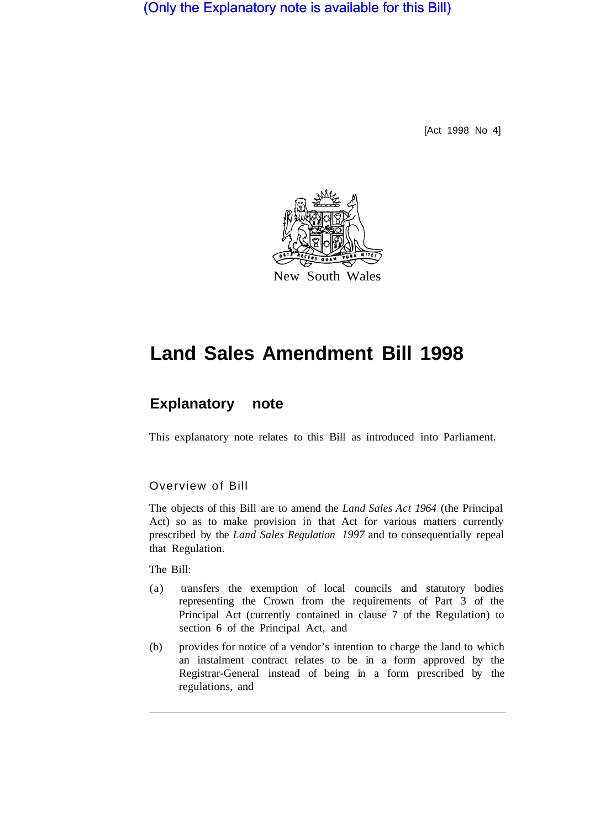(Only the Explanatory note is available for this Bill)

[Act 1998 No 4]



# **Land Sales Amendment Bill 1998**

## **Explanatory note**

This explanatory note relates to this Bill as introduced into Parliament.

#### Overview of Bill

The objects of this Bill are to amend the *Land Sales Act 1964* (the Principal Act) so as to make provision in that Act for various matters currently prescribed by the *Land Sales Regulation 1997* and to consequentially repeal that Regulation.

The Bill:

- (a) transfers the exemption of local councils and statutory bodies representing the Crown from the requirements of Part 3 of the Principal Act (currently contained in clause 7 of the Regulation) to section 6 of the Principal Act, and
- (b) provides for notice of a vendor's intention to charge the land to which an instalment contract relates to be in a form approved by the Registrar-General instead of being in a form prescribed by the regulations, and